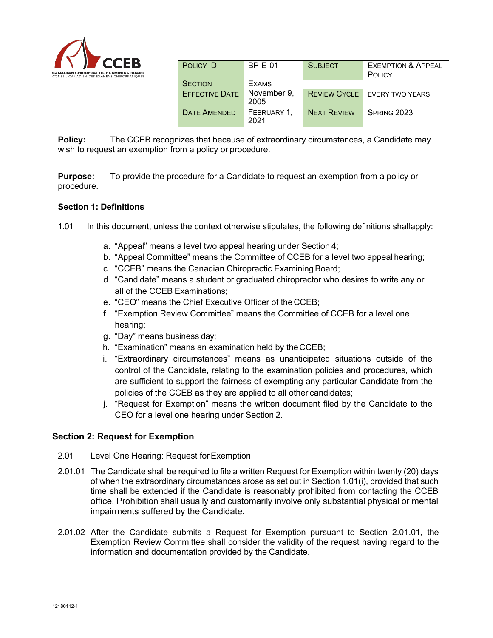

| <b>POLICY ID</b>      | <b>BP-E-01</b>      | <b>SUBJECT</b>     | <b>EXEMPTION &amp; APPEAL</b>         |
|-----------------------|---------------------|--------------------|---------------------------------------|
|                       |                     |                    | POLICY                                |
| <b>SECTION</b>        | <b>EXAMS</b>        |                    |                                       |
| <b>EFFECTIVE DATE</b> | November 9,<br>2005 |                    | <b>REVIEW CYCLE</b>   EVERY TWO YEARS |
| <b>DATE AMENDED</b>   | FEBRUARY 1,<br>2021 | <b>NEXT REVIEW</b> | SPRING 2023                           |

**Policy:** The CCEB recognizes that because of extraordinary circumstances, a Candidate may wish to request an exemption from a policy or procedure.

**Purpose:** To provide the procedure for a Candidate to request an exemption from a policy or procedure.

## **Section 1: Definitions**

- 1.01 In this document, unless the context otherwise stipulates, the following definitions shallapply:
	- a. "Appeal" means a level two appeal hearing under Section 4;
	- b. "Appeal Committee" means the Committee of CCEB for a level two appeal hearing;
	- c. "CCEB" means the Canadian Chiropractic Examining Board;
	- d. "Candidate" means a student or graduated chiropractor who desires to write any or all of the CCEB Examinations;
	- e. "CEO" means the Chief Executive Officer of the CCEB;
	- f. "Exemption Review Committee" means the Committee of CCEB for a level one hearing;
	- g. "Day" means business day;
	- h. "Examination" means an examination held by theCCEB;
	- i. "Extraordinary circumstances" means as unanticipated situations outside of the control of the Candidate, relating to the examination policies and procedures, which are sufficient to support the fairness of exempting any particular Candidate from the policies of the CCEB as they are applied to all other candidates;
	- j. "Request for Exemption" means the written document filed by the Candidate to the CEO for a level one hearing under Section 2.

# **Section 2: Request for Exemption**

## 2.01 Level One Hearing: Request for Exemption

- 2.01.01 The Candidate shall be required to file a written Request for Exemption within twenty (20) days of when the extraordinary circumstances arose as set out in Section 1.01(i), provided that such time shall be extended if the Candidate is reasonably prohibited from contacting the CCEB office. Prohibition shall usually and customarily involve only substantial physical or mental impairments suffered by the Candidate.
- 2.01.02 After the Candidate submits a Request for Exemption pursuant to Section 2.01.01, the Exemption Review Committee shall consider the validity of the request having regard to the information and documentation provided by the Candidate.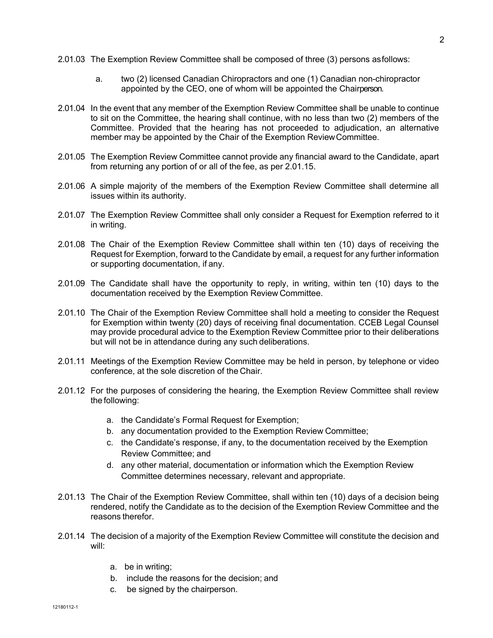- 2.01.03 The Exemption Review Committee shall be composed of three (3) persons asfollows:
	- a. two (2) licensed Canadian Chiropractors and one (1) Canadian non-chiropractor appointed by the CEO, one of whom will be appointed the Chairperson.
- 2.01.04 In the event that any member of the Exemption Review Committee shall be unable to continue to sit on the Committee, the hearing shall continue, with no less than two (2) members of the Committee. Provided that the hearing has not proceeded to adjudication, an alternative member may be appointed by the Chair of the Exemption ReviewCommittee.
- 2.01.05 The Exemption Review Committee cannot provide any financial award to the Candidate, apart from returning any portion of or all of the fee, as per 2.01.15.
- 2.01.06 A simple majority of the members of the Exemption Review Committee shall determine all issues within its authority.
- 2.01.07 The Exemption Review Committee shall only consider a Request for Exemption referred to it in writing.
- 2.01.08 The Chair of the Exemption Review Committee shall within ten (10) days of receiving the Request for Exemption, forward to the Candidate by email, a request for any further information or supporting documentation, if any.
- 2.01.09 The Candidate shall have the opportunity to reply, in writing, within ten (10) days to the documentation received by the Exemption Review Committee.
- 2.01.10 The Chair of the Exemption Review Committee shall hold a meeting to consider the Request for Exemption within twenty (20) days of receiving final documentation. CCEB Legal Counsel may provide procedural advice to the Exemption Review Committee prior to their deliberations but will not be in attendance during any such deliberations.
- 2.01.11 Meetings of the Exemption Review Committee may be held in person, by telephone or video conference, at the sole discretion of the Chair.
- 2.01.12 For the purposes of considering the hearing, the Exemption Review Committee shall review the following:
	- a. the Candidate's Formal Request for Exemption;
	- b. any documentation provided to the Exemption Review Committee;
	- c. the Candidate's response, if any, to the documentation received by the Exemption Review Committee; and
	- d. any other material, documentation or information which the Exemption Review Committee determines necessary, relevant and appropriate.
- 2.01.13 The Chair of the Exemption Review Committee, shall within ten (10) days of a decision being rendered, notify the Candidate as to the decision of the Exemption Review Committee and the reasons therefor.
- 2.01.14 The decision of a majority of the Exemption Review Committee will constitute the decision and will:
	- a. be in writing;
	- b. include the reasons for the decision; and
	- c. be signed by the chairperson.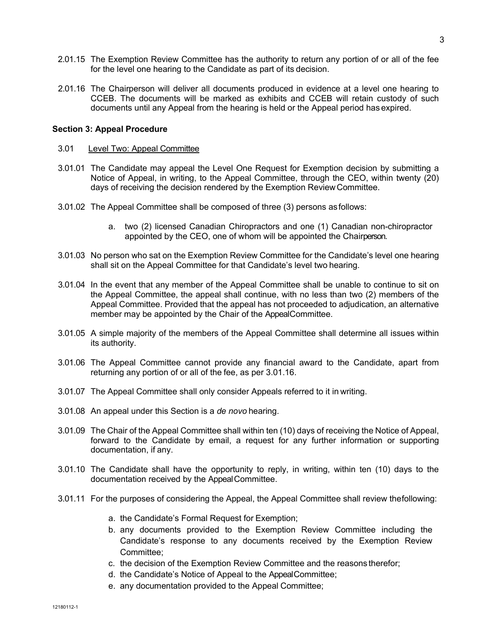- 2.01.15 The Exemption Review Committee has the authority to return any portion of or all of the fee for the level one hearing to the Candidate as part of its decision.
- 2.01.16 The Chairperson will deliver all documents produced in evidence at a level one hearing to CCEB. The documents will be marked as exhibits and CCEB will retain custody of such documents until any Appeal from the hearing is held or the Appeal period has expired.

#### **Section 3: Appeal Procedure**

- 3.01 Level Two: Appeal Committee
- 3.01.01 The Candidate may appeal the Level One Request for Exemption decision by submitting a Notice of Appeal, in writing, to the Appeal Committee, through the CEO, within twenty (20) days of receiving the decision rendered by the Exemption ReviewCommittee.
- 3.01.02 The Appeal Committee shall be composed of three (3) persons asfollows:
	- a. two (2) licensed Canadian Chiropractors and one (1) Canadian non-chiropractor appointed by the CEO, one of whom will be appointed the Chairperson.
- 3.01.03 No person who sat on the Exemption Review Committee for the Candidate's level one hearing shall sit on the Appeal Committee for that Candidate's level two hearing.
- 3.01.04 In the event that any member of the Appeal Committee shall be unable to continue to sit on the Appeal Committee, the appeal shall continue, with no less than two (2) members of the Appeal Committee. Provided that the appeal has not proceeded to adjudication, an alternative member may be appointed by the Chair of the AppealCommittee.
- 3.01.05 A simple majority of the members of the Appeal Committee shall determine all issues within its authority.
- 3.01.06 The Appeal Committee cannot provide any financial award to the Candidate, apart from returning any portion of or all of the fee, as per 3.01.16.
- 3.01.07 The Appeal Committee shall only consider Appeals referred to it in writing.
- 3.01.08 An appeal under this Section is a *de novo* hearing.
- 3.01.09 The Chair of the Appeal Committee shall within ten (10) days of receiving the Notice of Appeal, forward to the Candidate by email, a request for any further information or supporting documentation, if any.
- 3.01.10 The Candidate shall have the opportunity to reply, in writing, within ten (10) days to the documentation received by the AppealCommittee.
- 3.01.11 For the purposes of considering the Appeal, the Appeal Committee shall review thefollowing:
	- a. the Candidate's Formal Request for Exemption;
	- b. any documents provided to the Exemption Review Committee including the Candidate's response to any documents received by the Exemption Review Committee;
	- c. the decision of the Exemption Review Committee and the reasons therefor;
	- d. the Candidate's Notice of Appeal to the AppealCommittee;
	- e. any documentation provided to the Appeal Committee;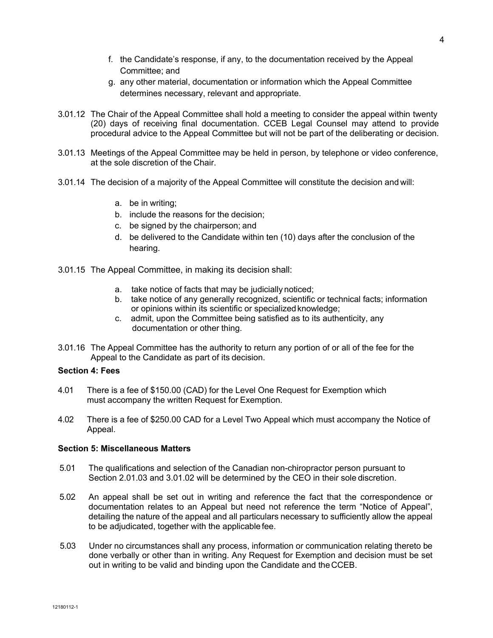- f. the Candidate's response, if any, to the documentation received by the Appeal Committee; and
- g. any other material, documentation or information which the Appeal Committee determines necessary, relevant and appropriate.
- 3.01.12 The Chair of the Appeal Committee shall hold a meeting to consider the appeal within twenty (20) days of receiving final documentation. CCEB Legal Counsel may attend to provide procedural advice to the Appeal Committee but will not be part of the deliberating or decision.
- 3.01.13 Meetings of the Appeal Committee may be held in person, by telephone or video conference, at the sole discretion of the Chair.
- 3.01.14 The decision of a majority of the Appeal Committee will constitute the decision and will:
	- a. be in writing;
	- b. include the reasons for the decision;
	- c. be signed by the chairperson; and
	- d. be delivered to the Candidate within ten (10) days after the conclusion of the hearing.
- 3.01.15 The Appeal Committee, in making its decision shall:
	- a. take notice of facts that may be judicially noticed;
	- b. take notice of any generally recognized, scientific or technical facts; information or opinions within its scientific or specializedknowledge;
	- c. admit, upon the Committee being satisfied as to its authenticity, any documentation or other thing.
- 3.01.16 The Appeal Committee has the authority to return any portion of or all of the fee for the Appeal to the Candidate as part of its decision.

## **Section 4: Fees**

- 4.01 There is a fee of \$150.00 (CAD) for the Level One Request for Exemption which must accompany the written Request for Exemption.
- 4.02 There is a fee of \$250.00 CAD for a Level Two Appeal which must accompany the Notice of Appeal.

### **Section 5: Miscellaneous Matters**

- 5.01 The qualifications and selection of the Canadian non-chiropractor person pursuant to Section 2.01.03 and 3.01.02 will be determined by the CEO in their sole discretion.
- 5.02 An appeal shall be set out in writing and reference the fact that the correspondence or documentation relates to an Appeal but need not reference the term "Notice of Appeal", detailing the nature of the appeal and all particulars necessary to sufficiently allow the appeal to be adjudicated, together with the applicable fee.
- 5.03 Under no circumstances shall any process, information or communication relating thereto be done verbally or other than in writing. Any Request for Exemption and decision must be set out in writing to be valid and binding upon the Candidate and theCCEB.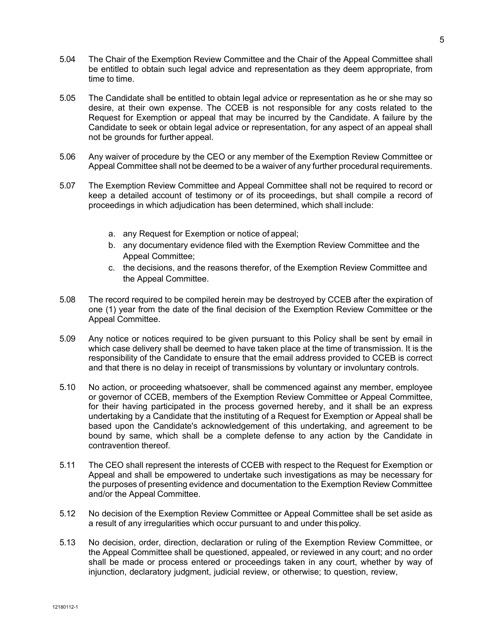- 5.04 The Chair of the Exemption Review Committee and the Chair of the Appeal Committee shall be entitled to obtain such legal advice and representation as they deem appropriate, from time to time.
- 5.05 The Candidate shall be entitled to obtain legal advice or representation as he or she may so desire, at their own expense. The CCEB is not responsible for any costs related to the Request for Exemption or appeal that may be incurred by the Candidate. A failure by the Candidate to seek or obtain legal advice or representation, for any aspect of an appeal shall not be grounds for further appeal.
- 5.06 Any waiver of procedure by the CEO or any member of the Exemption Review Committee or Appeal Committee shall not be deemed to be a waiver of any further procedural requirements.
- 5.07 The Exemption Review Committee and Appeal Committee shall not be required to record or keep a detailed account of testimony or of its proceedings, but shall compile a record of proceedings in which adjudication has been determined, which shall include:
	- a. any Request for Exemption or notice of appeal;
	- b. any documentary evidence filed with the Exemption Review Committee and the Appeal Committee;
	- c. the decisions, and the reasons therefor, of the Exemption Review Committee and the Appeal Committee.
- 5.08 The record required to be compiled herein may be destroyed by CCEB after the expiration of one (1) year from the date of the final decision of the Exemption Review Committee or the Appeal Committee.
- 5.09 Any notice or notices required to be given pursuant to this Policy shall be sent by email in which case delivery shall be deemed to have taken place at the time of transmission. It is the responsibility of the Candidate to ensure that the email address provided to CCEB is correct and that there is no delay in receipt of transmissions by voluntary or involuntary controls.
- 5.10 No action, or proceeding whatsoever, shall be commenced against any member, employee or governor of CCEB, members of the Exemption Review Committee or Appeal Committee, for their having participated in the process governed hereby, and it shall be an express undertaking by a Candidate that the instituting of a Request for Exemption or Appeal shall be based upon the Candidate's acknowledgement of this undertaking, and agreement to be bound by same, which shall be a complete defense to any action by the Candidate in contravention thereof.
- 5.11 The CEO shall represent the interests of CCEB with respect to the Request for Exemption or Appeal and shall be empowered to undertake such investigations as may be necessary for the purposes of presenting evidence and documentation to the Exemption Review Committee and/or the Appeal Committee.
- 5.12 No decision of the Exemption Review Committee or Appeal Committee shall be set aside as a result of any irregularities which occur pursuant to and under thispolicy.
- 5.13 No decision, order, direction, declaration or ruling of the Exemption Review Committee, or the Appeal Committee shall be questioned, appealed, or reviewed in any court; and no order shall be made or process entered or proceedings taken in any court, whether by way of injunction, declaratory judgment, judicial review, or otherwise; to question, review,